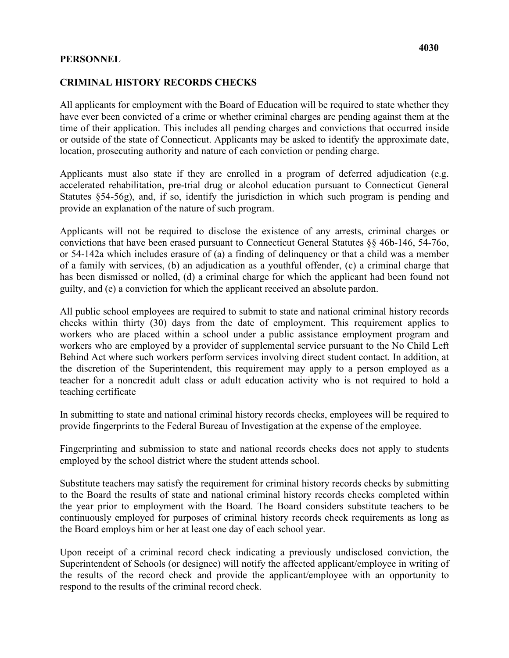## **PERSONNEL**

## **CRIMINAL HISTORY RECORDS CHECKS**

All applicants for employment with the Board of Education will be required to state whether they have ever been convicted of a crime or whether criminal charges are pending against them at the time of their application. This includes all pending charges and convictions that occurred inside or outside of the state of Connecticut. Applicants may be asked to identify the approximate date, location, prosecuting authority and nature of each conviction or pending charge.

Applicants must also state if they are enrolled in a program of deferred adjudication (e.g. accelerated rehabilitation, pre-trial drug or alcohol education pursuant to Connecticut General Statutes §54-56g), and, if so, identify the jurisdiction in which such program is pending and provide an explanation of the nature of such program.

 guilty, and (e) a conviction for which the applicant received an absolute pardon. Applicants will not be required to disclose the existence of any arrests, criminal charges or convictions that have been erased pursuant to Connecticut General Statutes §§ 46b-146, 54-76o, or 54-142a which includes erasure of (a) a finding of delinquency or that a child was a member of a family with services, (b) an adjudication as a youthful offender, (c) a criminal charge that has been dismissed or nolled, (d) a criminal charge for which the applicant had been found not

 checks within thirty (30) days from the date of employment. This requirement applies to the discretion of the Superintendent, this requirement may apply to a person employed as a teaching certificate All public school employees are required to submit to state and national criminal history records workers who are placed within a school under a public assistance employment program and workers who are employed by a provider of supplemental service pursuant to the No Child Left Behind Act where such workers perform services involving direct student contact. In addition, at teacher for a noncredit adult class or adult education activity who is not required to hold a

In submitting to state and national criminal history records checks, employees will be required to provide fingerprints to the Federal Bureau of Investigation at the expense of the employee.

Fingerprinting and submission to state and national records checks does not apply to students employed by the school district where the student attends school.

 the Board employs him or her at least one day of each school year. Substitute teachers may satisfy the requirement for criminal history records checks by submitting to the Board the results of state and national criminal history records checks completed within the year prior to employment with the Board. The Board considers substitute teachers to be continuously employed for purposes of criminal history records check requirements as long as

 respond to the results of the criminal record check. Upon receipt of a criminal record check indicating a previously undisclosed conviction, the Superintendent of Schools (or designee) will notify the affected applicant/employee in writing of the results of the record check and provide the applicant/employee with an opportunity to